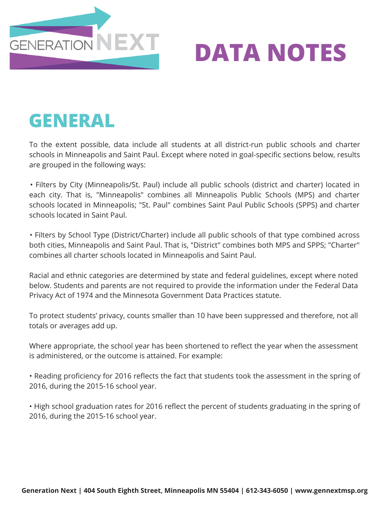

### **GENERAL**

To the extent possible, data include all students at all district-run public schools and charter schools in Minneapolis and Saint Paul. Except where noted in goal-specific sections below, results are grouped in the following ways:

• Filters by City (Minneapolis/St. Paul) include all public schools (district and charter) located in each city. That is, "Minneapolis" combines all Minneapolis Public Schools (MPS) and charter schools located in Minneapolis; "St. Paul" combines Saint Paul Public Schools (SPPS) and charter schools located in Saint Paul.

• Filters by School Type (District/Charter) include all public schools of that type combined across both cities, Minneapolis and Saint Paul. That is, "District" combines both MPS and SPPS; "Charter" combines all charter schools located in Minneapolis and Saint Paul.

Racial and ethnic categories are determined by state and federal guidelines, except where noted below. Students and parents are not required to provide the information under the Federal Data Privacy Act of 1974 and the Minnesota Government Data Practices statute.

To protect students' privacy, counts smaller than 10 have been suppressed and therefore, not all totals or averages add up.

Where appropriate, the school year has been shortened to reflect the year when the assessment is administered, or the outcome is attained. For example:

• Reading proficiency for 2016 reflects the fact that students took the assessment in the spring of 2016, during the 2015-16 school year.

• High school graduation rates for 2016 reflect the percent of students graduating in the spring of 2016, during the 2015-16 school year.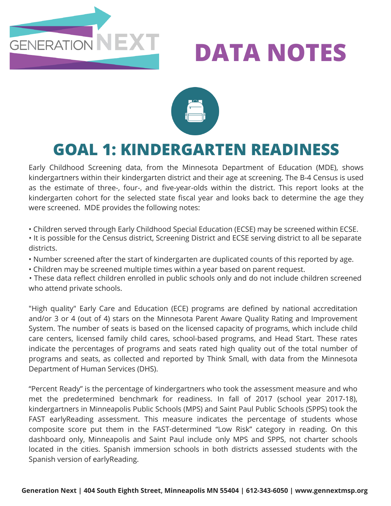



### **GOAL 1: KINDERGARTEN READINESS**

Early Childhood Screening data, from the Minnesota Department of Education (MDE), shows kindergartners within their kindergarten district and their age at screening. The B-4 Census is used as the estimate of three-, four-, and five-year-olds within the district. This report looks at the kindergarten cohort for the selected state fiscal year and looks back to determine the age they were screened. MDE provides the following notes:

• Children served through Early Childhood Special Education (ECSE) may be screened within ECSE.

- It is possible for the Census district, Screening District and ECSE serving district to all be separate districts.
- Number screened after the start of kindergarten are duplicated counts of this reported by age.
- Children may be screened multiple times within a year based on parent request.

• These data reflect children enrolled in public schools only and do not include children screened who attend private schools.

"High quality" Early Care and Education (ECE) programs are defined by national accreditation and/or 3 or 4 (out of 4) stars on the Minnesota Parent Aware Quality Rating and Improvement System. The number of seats is based on the licensed capacity of programs, which include child care centers, licensed family child cares, school-based programs, and Head Start. These rates indicate the percentages of programs and seats rated high quality out of the total number of programs and seats, as collected and reported by Think Small, with data from the Minnesota Department of Human Services (DHS).

"Percent Ready" is the percentage of kindergartners who took the assessment measure and who met the predetermined benchmark for readiness. In fall of 2017 (school year 2017-18), kindergartners in Minneapolis Public Schools (MPS) and Saint Paul Public Schools (SPPS) took the FAST earlyReading assessment. This measure indicates the percentage of students whose composite score put them in the FAST-determined "Low Risk" category in reading. On this dashboard only, Minneapolis and Saint Paul include only MPS and SPPS, not charter schools located in the cities. Spanish immersion schools in both districts assessed students with the Spanish version of earlyReading.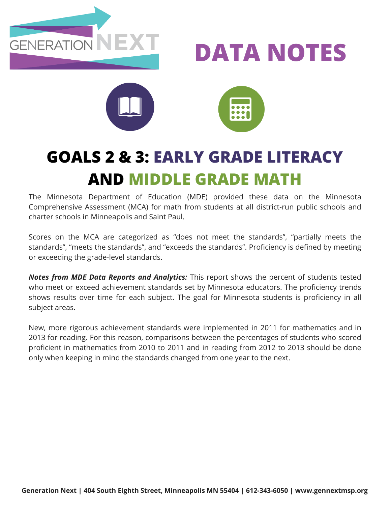





### **GOALS 2 & 3: EARLY GRADE LITERACY AND MIDDLE GRADE MATH**

The Minnesota Department of Education (MDE) provided these data on the Minnesota Comprehensive Assessment (MCA) for math from students at all district-run public schools and charter schools in Minneapolis and Saint Paul.

Scores on the MCA are categorized as "does not meet the standards", "partially meets the standards", "meets the standards", and "exceeds the standards". Proficiency is defined by meeting or exceeding the grade-level standards.

*Notes from MDE Data Reports and Analytics:* This report shows the percent of students tested who meet or exceed achievement standards set by Minnesota educators. The proficiency trends shows results over time for each subject. The goal for Minnesota students is proficiency in all subject areas.

New, more rigorous achievement standards were implemented in 2011 for mathematics and in 2013 for reading. For this reason, comparisons between the percentages of students who scored proficient in mathematics from 2010 to 2011 and in reading from 2012 to 2013 should be done only when keeping in mind the standards changed from one year to the next.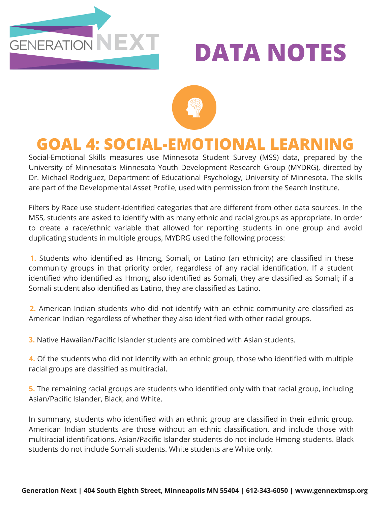



#### **GOAL 4: SOCIAL-EMOTIONAL LEARNING**

Social-Emotional Skills measures use Minnesota Student Survey (MSS) data, prepared by the University of Minnesota's Minnesota Youth Development Research Group (MYDRG), directed by Dr. Michael Rodriguez, Department of Educational Psychology, University of Minnesota. The skills are part of the Developmental Asset Profile, used with permission from the Search Institute.

Filters by Race use student-identified categories that are different from other data sources. In the MSS, students are asked to identify with as many ethnic and racial groups as appropriate. In order to create a race/ethnic variable that allowed for reporting students in one group and avoid duplicating students in multiple groups, MYDRG used the following process:

**1.** Students who identified as Hmong, Somali, or Latino (an ethnicity) are classified in these community groups in that priority order, regardless of any racial identification. If a student identified who identified as Hmong also identified as Somali, they are classified as Somali; if a Somali student also identified as Latino, they are classified as Latino.

**2.** American Indian students who did not identify with an ethnic community are classified as American Indian regardless of whether they also identified with other racial groups.

**3.** Native Hawaiian/Pacific Islander students are combined with Asian students.

**4.** Of the students who did not identify with an ethnic group, those who identified with multiple racial groups are classified as multiracial.

**5.** The remaining racial groups are students who identified only with that racial group, including Asian/Pacific Islander, Black, and White.

In summary, students who identified with an ethnic group are classified in their ethnic group. American Indian students are those without an ethnic classification, and include those with multiracial identifications. Asian/Pacific Islander students do not include Hmong students. Black students do not include Somali students. White students are White only.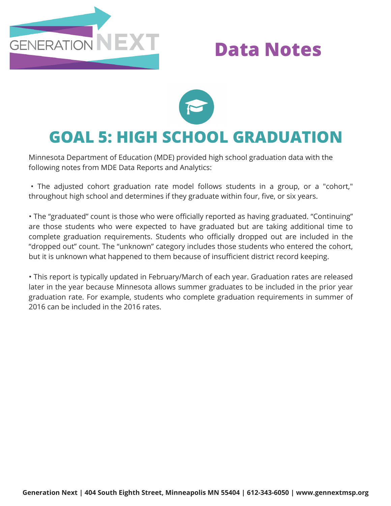

### **Data Notes**



#### **GOAL 5: HIGH SCHOOL GRADUATION**

Minnesota Department of Education (MDE) provided high school graduation data with the following notes from MDE Data Reports and Analytics:

• The adjusted cohort graduation rate model follows students in a group, or a "cohort," throughout high school and determines if they graduate within four, five, or six years.

• The "graduated" count is those who were officially reported as having graduated. "Continuing" are those students who were expected to have graduated but are taking additional time to complete graduation requirements. Students who officially dropped out are included in the "dropped out" count. The "unknown" category includes those students who entered the cohort, but it is unknown what happened to them because of insufficient district record keeping.

• This report is typically updated in February/March of each year. Graduation rates are released later in the year because Minnesota allows summer graduates to be included in the prior year graduation rate. For example, students who complete graduation requirements in summer of 2016 can be included in the 2016 rates.